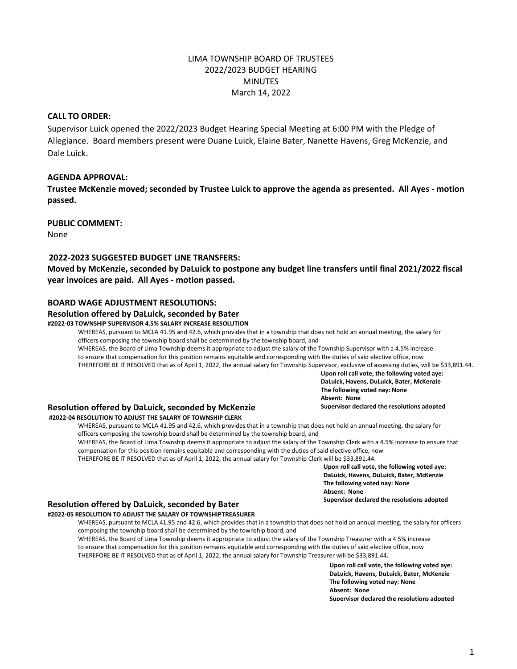# LIMA TOWNSHIP BOARD OF TRUSTEES 2022/2023 BUDGET HEARING MINUTES March 14, 2022

# **CALL TO ORDER:**

Supervisor Luick opened the 2022/2023 Budget Hearing Special Meeting at 6:00 PM with the Pledge of Allegiance. Board members present were Duane Luick, Elaine Bater, Nanette Havens, Greg McKenzie, and Dale Luick.

## **AGENDA APPROVAL:**

**Trustee McKenzie moved; seconded by Trustee Luick to approve the agenda as presented. All Ayes - motion passed.**

### **PUBLIC COMMENT:**

None

## **2022-2023 SUGGESTED BUDGET LINE TRANSFERS:**

**Moved by McKenzie, seconded by DaLuick to postpone any budget line transfers until final 2021/2022 fiscal year invoices are paid. All Ayes - motion passed.**

### **BOARD WAGE ADJUSTMENT RESOLUTIONS:**

# **Resolution offered by DaLuick, seconded by Bater**

## **#2022-03 TOWNSHIP SUPERVISOR 4.5% SALARY INCREASE RESOLUTION**

WHEREAS, pursuant to MCLA 41.95 and 42.6, which provides that in a township that does not hold an annual meeting, the salary for officers composing the township board shall be determined by the township board, and WHEREAS, the Board of Lima Township deems it appropriate to adjust the salary of the Township Supervisor with a 4.5% increase to ensure that compensation for this position remains equitable and corresponding with the duties of said elective office, now THEREFORE BE IT RESOLVED that as of April 1, 2022, the annual salary for Township Supervisor, exclusive of assessing duties, will be \$33,891.44.

> **Upon roll call vote, the following voted aye: DaLuick, Havens, DuLuick, Bater, McKenzie The following voted nay: None Absent: None Supervisor declared the resolutions adopted**

## **Resolution offered by DaLuick, seconded by McKenzie**

### **#2022-04 RESOLUTION TO ADJUST THE SALARY OF TOWNSHIP CLERK**

WHEREAS, pursuant to MCLA 41.95 and 42.6, which provides that in a township that does not hold an annual meeting, the salary for officers composing the township board shall be determined by the township board, and

WHEREAS, the Board of Lima Township deems it appropriate to adjust the salary of the Township Clerk with a 4.5% increase to ensure that compensation for this position remains equitable and corresponding with the duties of said elective office, now THEREFORE BE IT RESOLVED that as of April 1, 2022, the annual salary for Township Clerk will be \$33,891.44.

**Upon roll call vote, the following voted aye: DaLuick, Havens, DuLuick, Bater, McKenzie The following voted nay: None Absent: None**

# **Supervisor declared the resolutions adopted**

#### **Resolution offered by DaLuick, seconded by Bater #2022-05 RESOLUTION TO ADJUST THE SALARY OF TOWNSHIPTREASURER**

WHEREAS, pursuant to MCLA 41.95 and 42.6, which provides that in a township that does not hold an annual meeting, the salary for officers composing the township board shall be determined by the township board, and WHEREAS, the Board of Lima Township deems it appropriate to adjust the salary of the Township Treasurer with a 4.5% increase to ensure that compensation for this position remains equitable and corresponding with the duties of said elective office, now

THEREFORE BE IT RESOLVED that as of April 1, 2022, the annual salary for Township Treasurer will be \$33,891.44.

**Upon roll call vote, the following voted aye: DaLuick, Havens, DuLuick, Bater, McKenzie The following voted nay: None Absent: None Supervisor declared the resolutions adopted**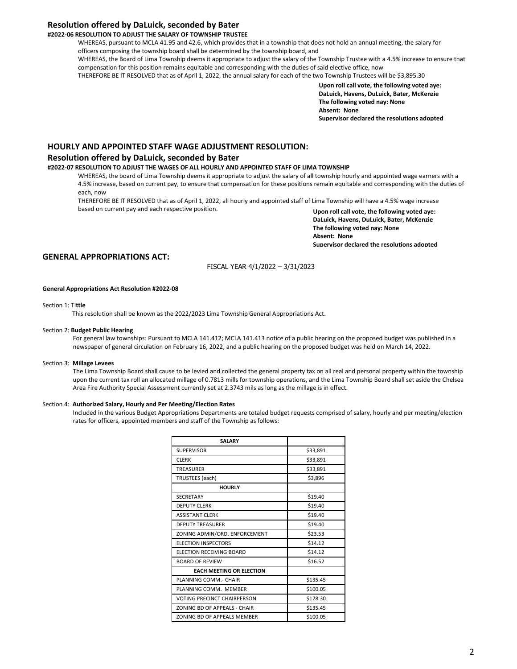## **Resolution offered by DaLuick, seconded by Bater**

### **#2022-06 RESOLUTION TO ADJUST THE SALARY OF TOWNSHIP TRUSTEE**

WHEREAS, pursuant to MCLA 41.95 and 42.6, which provides that in a township that does not hold an annual meeting, the salary for officers composing the township board shall be determined by the township board, and WHEREAS, the Board of Lima Township deems it appropriate to adjust the salary of the Township Trustee with a 4.5% increase to ensure that compensation for this position remains equitable and corresponding with the duties of said elective office, now THEREFORE BE IT RESOLVED that as of April 1, 2022, the annual salary for each of the two Township Trustees will be \$3,895.30

> **Upon roll call vote, the following voted aye: DaLuick, Havens, DuLuick, Bater, McKenzie The following voted nay: None Absent: None Supervisor declared the resolutions adopted**

### **HOURLY AND APPOINTED STAFF WAGE ADJUSTMENT RESOLUTION:**

#### **Resolution offered by DaLuick, seconded by Bater**

### **#2022-07 RESOLUTION TO ADJUST THE WAGES OF ALL HOURLY AND APPOINTED STAFF OF LIMA TOWNSHIP**

WHEREAS, the board of Lima Township deems it appropriate to adjust the salary of all township hourly and appointed wage earners with a 4.5% increase, based on current pay, to ensure that compensation for these positions remain equitable and corresponding with the duties of each, now

THEREFORE BE IT RESOLVED that as of April 1, 2022, all hourly and appointed staff of Lima Township will have a 4.5% wage increase based on current pay and each respective position.

**Upon roll call vote, the following voted aye: DaLuick, Havens, DuLuick, Bater, McKenzie The following voted nay: None Absent: None Supervisor declared the resolutions adopted** 

## **GENERAL APPROPRIATIONS ACT:**

FISCAL YEAR 4/1/2022 – 3/31/2023

#### **General Appropriations Act Resolution #2022-08**

#### Section 1: Ti**ttle**

This resolution shall be known as the 2022/2023 Lima Township General Appropriations Act.

#### Section 2: **Budget Public Hearing**

For general law townships: Pursuant to MCLA 141.412; MCLA 141.413 notice of a public hearing on the proposed budget was published in a newspaper of general circulation on February 16, 2022, and a public hearing on the proposed budget was held on March 14, 2022.

#### Section 3: **Millage Levees**

The Lima Township Board shall cause to be levied and collected the general property tax on all real and personal property within the township upon the current tax roll an allocated millage of 0.7813 mills for township operations, and the Lima Township Board shall set aside the Chelsea Area Fire Authority Special Assessment currently set at 2.3743 mils as long as the millage is in effect.

#### Section 4: **Authorized Salary, Hourly and Per Meeting/Election Rates**

Included in the various Budget Appropriations Departments are totaled budget requests comprised of salary, hourly and per meeting/election rates for officers, appointed members and staff of the Township as follows:

| <b>SALARY</b>                      |          |
|------------------------------------|----------|
| <b>SUPERVISOR</b>                  | \$33,891 |
| <b>CLERK</b>                       | \$33,891 |
| <b>TREASURER</b>                   | \$33,891 |
| TRUSTEES (each)                    | \$3,896  |
| <b>HOURLY</b>                      |          |
| <b>SECRETARY</b>                   | \$19.40  |
| <b>DEPUTY CLERK</b>                | \$19.40  |
| <b>ASSISTANT CLERK</b>             | \$19.40  |
| <b>DEPUTY TREASURER</b>            | \$19.40  |
| ZONING ADMIN/ORD. ENFORCEMENT      | \$23.53  |
| <b>ELECTION INSPECTORS</b>         | \$14.12  |
| ELECTION RECEIVING BOARD           | \$14.12  |
| <b>BOARD OF REVIEW</b>             | \$16.52  |
| <b>EACH MEETING OR ELECTION</b>    |          |
| PLANNING COMM. - CHAIR             | \$135.45 |
| PLANNING COMM. MEMBER              | \$100.05 |
| <b>VOTING PRECINCT CHAIRPERSON</b> | \$178.30 |
| ZONING BD OF APPEALS - CHAIR       | \$135.45 |
| ZONING BD OF APPEALS MEMBER        | \$100.05 |